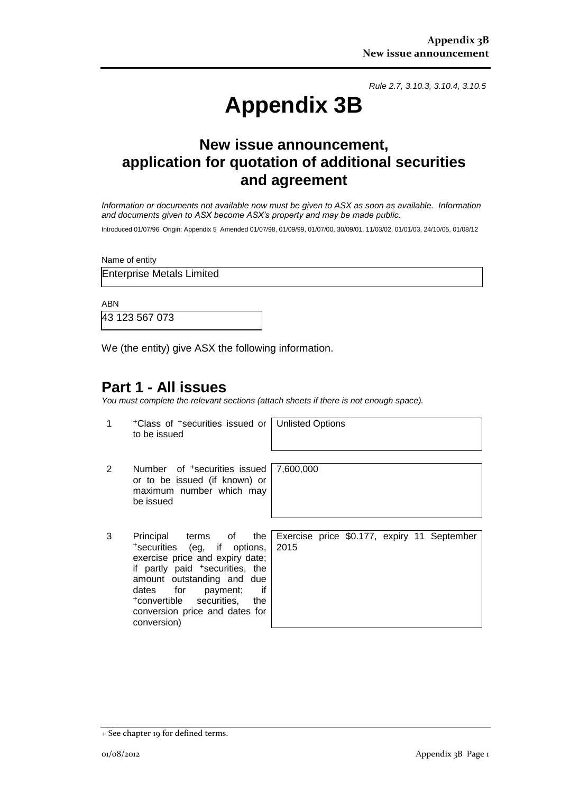*Rule 2.7, 3.10.3, 3.10.4, 3.10.5*

# **Appendix 3B**

## **New issue announcement, application for quotation of additional securities and agreement**

*Information or documents not available now must be given to ASX as soon as available. Information and documents given to ASX become ASX's property and may be made public.*

Introduced 01/07/96 Origin: Appendix 5 Amended 01/07/98, 01/09/99, 01/07/00, 30/09/01, 11/03/02, 01/01/03, 24/10/05, 01/08/12

Name of entity

Enterprise Metals Limited

ABN

43 123 567 073

We (the entity) give ASX the following information.

## **Part 1 - All issues**

*You must complete the relevant sections (attach sheets if there is not enough space).*

1 +Class of +securities issued or to be issued Unlisted Options 2 Number of <sup>+</sup>securities issued or to be issued (if known) or maximum number which may be issued 7,600,000 3 Principal terms of the +securities (eg, if options, exercise price and expiry date; if partly paid <sup>+</sup>securities, the amount outstanding and due dates for payment; if +convertible securities, the conversion price and dates for Exercise price \$0.177, expiry 11 September 2015

conversion)

<sup>+</sup> See chapter 19 for defined terms.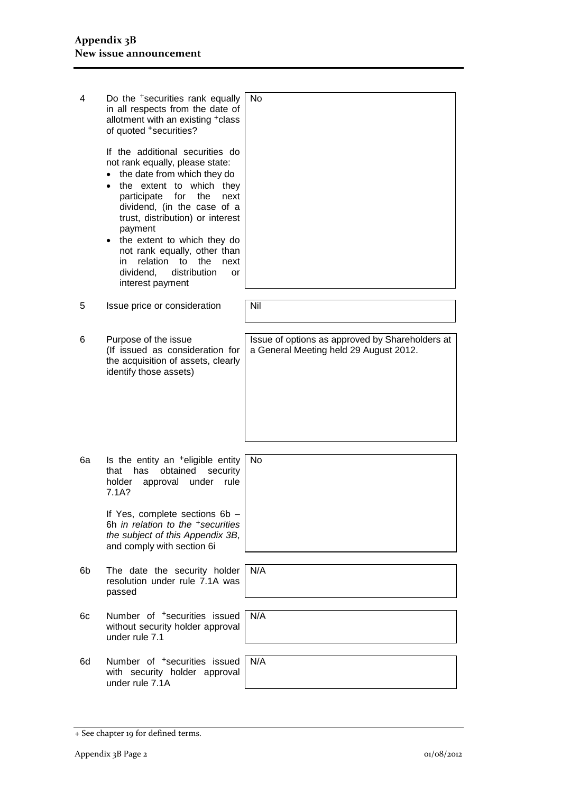| 4  | Do the <sup>+</sup> securities rank equally<br>in all respects from the date of<br>allotment with an existing +class<br>of quoted +securities?                                                                                                                                                                                                                                                               | No                                                                                        |
|----|--------------------------------------------------------------------------------------------------------------------------------------------------------------------------------------------------------------------------------------------------------------------------------------------------------------------------------------------------------------------------------------------------------------|-------------------------------------------------------------------------------------------|
|    | If the additional securities do<br>not rank equally, please state:<br>the date from which they do<br>the extent to which they<br>for<br>participate<br>the<br>next<br>dividend, (in the case of a<br>trust, distribution) or interest<br>payment<br>the extent to which they do<br>٠<br>not rank equally, other than<br>relation to the<br>in<br>next<br>dividend,<br>distribution<br>or<br>interest payment |                                                                                           |
| 5  | Issue price or consideration                                                                                                                                                                                                                                                                                                                                                                                 | Nil                                                                                       |
| 6  | Purpose of the issue<br>(If issued as consideration for<br>the acquisition of assets, clearly<br>identify those assets)                                                                                                                                                                                                                                                                                      | Issue of options as approved by Shareholders at<br>a General Meeting held 29 August 2012. |
| 6a | Is the entity an <sup>+</sup> eligible entity<br>has<br>obtained<br>security<br>that<br>approval<br>rule<br>holder<br>under<br>7.1A?<br>If Yes, complete sections 6b -                                                                                                                                                                                                                                       | No                                                                                        |
|    | 6h in relation to the +securities<br>the subject of this Appendix 3B,<br>and comply with section 6i                                                                                                                                                                                                                                                                                                          |                                                                                           |
| 6b | The date the security holder<br>resolution under rule 7.1A was<br>passed                                                                                                                                                                                                                                                                                                                                     | N/A                                                                                       |
| 6c | Number of <sup>+</sup> securities issued<br>without security holder approval<br>under rule 7.1                                                                                                                                                                                                                                                                                                               | N/A                                                                                       |
| 6d | Number of <sup>+</sup> securities issued<br>with security holder approval<br>under rule 7.1A                                                                                                                                                                                                                                                                                                                 | N/A                                                                                       |

<sup>+</sup> See chapter 19 for defined terms.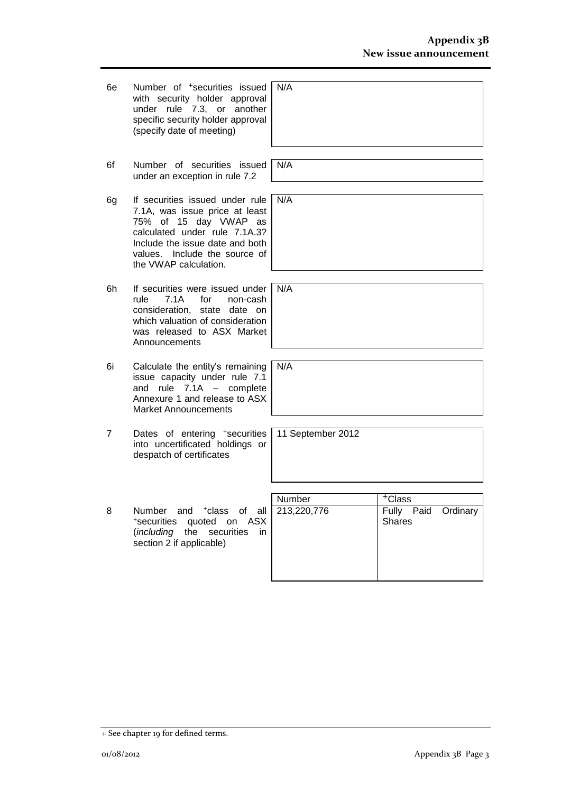| 6e | Number of <sup>+</sup> securities issued<br>with security holder approval<br>under rule 7.3, or another<br>specific security holder approval<br>(specify date of meeting)                                                   | N/A               |                                            |
|----|-----------------------------------------------------------------------------------------------------------------------------------------------------------------------------------------------------------------------------|-------------------|--------------------------------------------|
|    |                                                                                                                                                                                                                             |                   |                                            |
| 6f | Number of securities issued<br>under an exception in rule 7.2                                                                                                                                                               | N/A               |                                            |
| 6g | If securities issued under rule<br>7.1A, was issue price at least<br>75% of 15 day VWAP as<br>calculated under rule 7.1A.3?<br>Include the issue date and both<br>Include the source of<br>values.<br>the VWAP calculation. | N/A               |                                            |
|    |                                                                                                                                                                                                                             |                   |                                            |
| 6h | If securities were issued under<br>rule<br>7.1A<br>for<br>non-cash<br>consideration,<br>state date on<br>which valuation of consideration<br>was released to ASX Market<br>Announcements                                    | N/A               |                                            |
|    |                                                                                                                                                                                                                             |                   |                                            |
| 6i | Calculate the entity's remaining<br>issue capacity under rule 7.1<br>and rule $7.1A -$ complete<br>Annexure 1 and release to ASX<br><b>Market Announcements</b>                                                             | N/A               |                                            |
|    |                                                                                                                                                                                                                             |                   |                                            |
| 7  | Dates of entering +securities<br>into uncertificated holdings or<br>despatch of certificates                                                                                                                                | 11 September 2012 |                                            |
|    |                                                                                                                                                                                                                             |                   |                                            |
|    |                                                                                                                                                                                                                             | Number            | <sup>+</sup> Class                         |
| 8  | Number<br>and<br><sup>+</sup> class<br>οf<br>all<br>*securities<br>quoted<br>ASX<br>on<br>(including the<br>securities<br>in.<br>section 2 if applicable)                                                                   | 213,220,776       | Fully<br>Paid<br>Ordinary<br><b>Shares</b> |
|    |                                                                                                                                                                                                                             |                   |                                            |

<sup>+</sup> See chapter 19 for defined terms.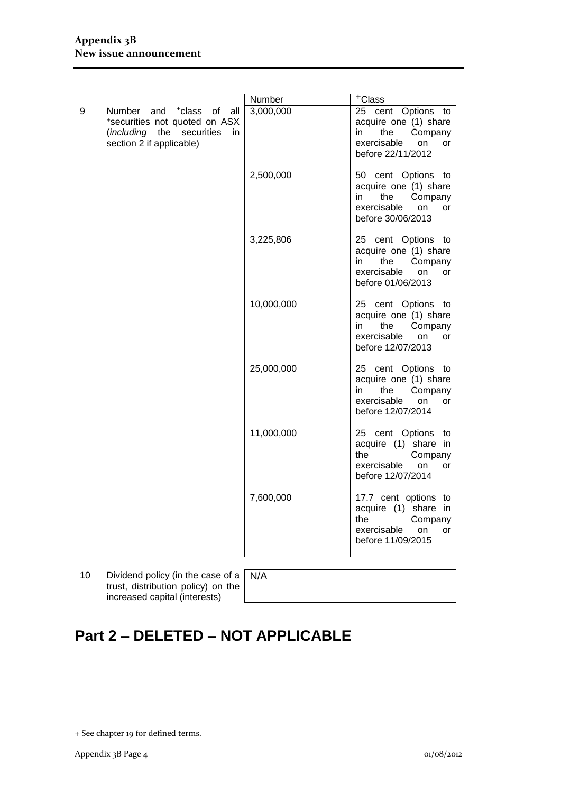|   |                                                                                                                                       | Number     | <sup>+</sup> Class                                                                                                         |
|---|---------------------------------------------------------------------------------------------------------------------------------------|------------|----------------------------------------------------------------------------------------------------------------------------|
| 9 | Number and <sup>+</sup> class of all<br>*securities not quoted on ASX<br>(including the securities<br>in.<br>section 2 if applicable) | 3,000,000  | 25 cent Options to<br>acquire one (1) share<br>Company<br>in<br>the<br>exercisable<br><b>on</b><br>or<br>before 22/11/2012 |
|   |                                                                                                                                       | 2,500,000  | 50 cent Options to<br>acquire one (1) share<br>the<br>Company<br>in<br>exercisable<br>on<br>or<br>before 30/06/2013        |
|   |                                                                                                                                       | 3,225,806  | 25 cent Options to<br>acquire one (1) share<br>Company<br>in l<br>the<br>exercisable<br>on<br>or<br>before 01/06/2013      |
|   |                                                                                                                                       | 10,000,000 | 25 cent Options to<br>acquire one (1) share<br>in<br>the<br>Company<br>exercisable<br>on<br><b>or</b><br>before 12/07/2013 |
|   |                                                                                                                                       | 25,000,000 | 25 cent Options to<br>acquire one (1) share<br>the<br>in<br>Company<br>exercisable<br>on<br>or<br>before 12/07/2014        |
|   |                                                                                                                                       | 11,000,000 | 25 cent Options to<br>acquire (1) share in<br>the<br>Company<br>exercisable<br><b>on</b><br>or<br>before 12/07/2014        |
|   |                                                                                                                                       | 7,600,000  | 17.7 cent options to<br>acquire (1) share in<br>the<br>Company<br>exercisable<br><b>on</b><br>or<br>before 11/09/2015      |

- 10 Dividend policy (in the case of a trust, distribution policy) on the increased capital (interests)
- N/A

# **Part 2 – DELETED – NOT APPLICABLE**

<sup>+</sup> See chapter 19 for defined terms.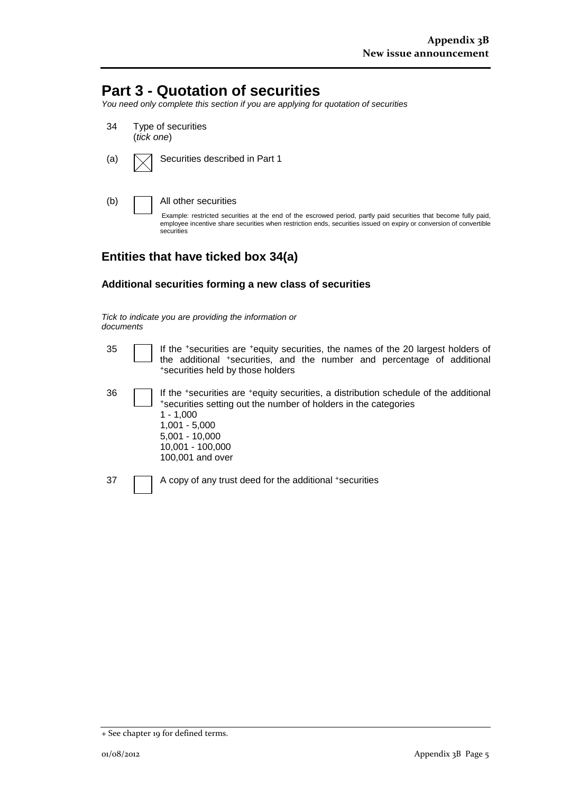## **Part 3 - Quotation of securities**

*You need only complete this section if you are applying for quotation of securities*

34 Type of securities (*tick one*) (a)  $\Box$  Securities described in Part 1 (b) All other securities Example: restricted securities at the end of the escrowed period, partly paid securities that become fully paid, employee incentive share securities when restriction ends, securities issued on expiry or conversion of convertible securities

### **Entities that have ticked box 34(a)**

### **Additional securities forming a new class of securities**

#### *Tick to indicate you are providing the information or documents*

| 35 | If the *securities are *equity securities, the names of the 20 largest holders of<br>the additional *securities, and the number and percentage of additional<br>*securities held by those holders                                                     |
|----|-------------------------------------------------------------------------------------------------------------------------------------------------------------------------------------------------------------------------------------------------------|
| 36 | If the *securities are *equity securities, a distribution schedule of the additional<br>*securities setting out the number of holders in the categories<br>$1 - 1.000$<br>$1,001 - 5,000$<br>$5,001 - 10,000$<br>10,001 - 100,000<br>100,001 and over |
| 37 | A copy of any trust deed for the additional +securities                                                                                                                                                                                               |

<sup>+</sup> See chapter 19 for defined terms.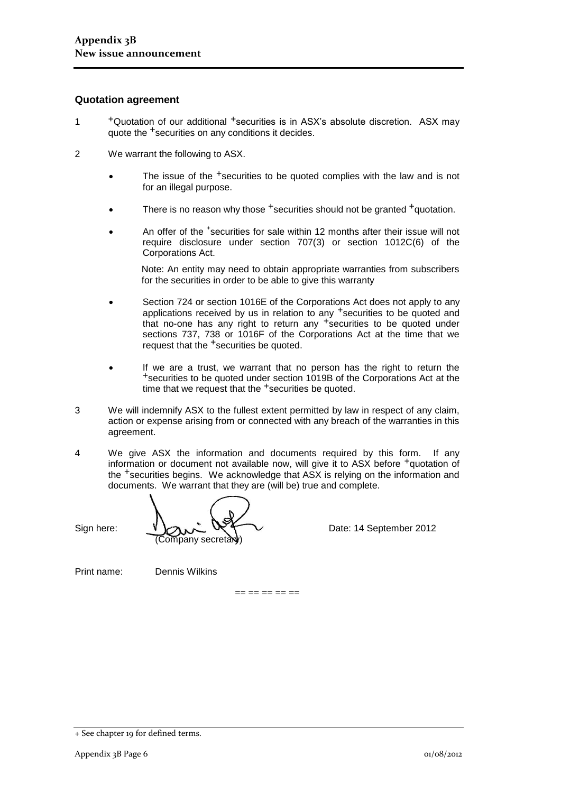#### **Quotation agreement**

- 1 +Quotation of our additional +securities is in ASX's absolute discretion. ASX may quote the +securities on any conditions it decides.
- 2 We warrant the following to ASX.
	- The issue of the <sup>+</sup>securities to be quoted complies with the law and is not for an illegal purpose.
	- There is no reason why those <sup>+</sup>securities should not be granted <sup>+</sup>quotation.
	- An offer of the <sup>+</sup>securities for sale within 12 months after their issue will not require disclosure under section 707(3) or section 1012C(6) of the Corporations Act.

Note: An entity may need to obtain appropriate warranties from subscribers for the securities in order to be able to give this warranty

- Section 724 or section 1016E of the Corporations Act does not apply to any applications received by us in relation to any <sup>+</sup>securities to be quoted and that no-one has any right to return any <sup>+</sup>securities to be quoted under sections 737, 738 or 1016F of the Corporations Act at the time that we request that the <sup>+</sup>securities be quoted.
- If we are a trust, we warrant that no person has the right to return the +securities to be quoted under section 1019B of the Corporations Act at the time that we request that the <sup>+</sup>securities be quoted.
- 3 We will indemnify ASX to the fullest extent permitted by law in respect of any claim, action or expense arising from or connected with any breach of the warranties in this agreement.
- 4 We give ASX the information and documents required by this form. If any information or document not available now, will give it to ASX before <sup>+</sup>quotation of the +securities begins. We acknowledge that ASX is relying on the information and documents. We warrant that they are (will be) true and complete.

Sign here:  $V \sim N$   $\sim$   $W$   $\sim$  Date: 14 September 2012 Company secretary

Print name: Dennis Wilkins

 $== == == == ==$ 

<sup>+</sup> See chapter 19 for defined terms.